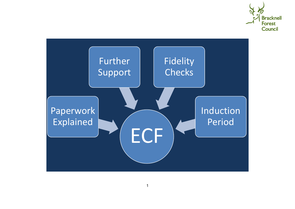

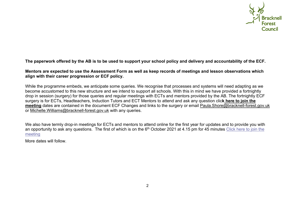

#### **The paperwork offered by the AB is to be used to support your school policy and delivery and accountability of the ECF.**

#### **Mentors are expected to use the Assessment Form as well as keep records of meetings and lesson observations which align with their career progression or ECF policy.**

While the programme embeds, we anticipate some queries. We recognise that processes and systems will need adapting as we become accustomed to this new structure and we intend to support all schools. With this in mind we have provided a fortnightly drop in session (surgery) for those queries and regular meetings with ECTs and mentors provided by the AB. The fortnightly ECF surgery is for ECTs, Headteachers, Induction Tutors and ECT Mentors to attend and ask any question clic**k [here to join the](https://teams.microsoft.com/l/meetup-join/19%3ameeting_YWVkMGMwYWQtZGRkZS00NTQwLTg2YTQtNjljNmVmNjAyMzk5%40thread.v2/0?context=%7b%22Tid%22%3a%22f54c93b7-0883-478f-bf3d-56e09b7ca0b7%22%2c%22Oid%22%3a%22bf547d8a-60c9-4d7e-94a2-7f33ed7cc838%22%7d)  [meeting](https://teams.microsoft.com/l/meetup-join/19%3ameeting_YWVkMGMwYWQtZGRkZS00NTQwLTg2YTQtNjljNmVmNjAyMzk5%40thread.v2/0?context=%7b%22Tid%22%3a%22f54c93b7-0883-478f-bf3d-56e09b7ca0b7%22%2c%22Oid%22%3a%22bf547d8a-60c9-4d7e-94a2-7f33ed7cc838%22%7d)** dates are contained in the document ECF Changes and links to the surgery or email [Paula.Shore@bracknell-forest.gov.uk](mailto:Paula.Shore@bracknell-forest.gov.uk)  or [Michelle.Williams@bracknell-forest.gov.uk](mailto:Michelle.Williams@bracknell-forest.gov.uk) with any queries.

We also have termly drop-in meetings for ECTs and mentors to attend online for the first year for updates and to provide you with an opportunity to ask any questions. The first of which is on the 6<sup>th</sup> October 2021 at 4.15 pm for 45 minutes Click here to join the [meeting](https://teams.microsoft.com/l/meetup-join/19%3ameeting_MmFiOTE4OWMtNTVjZi00ZmY0LWFiNmEtNGIzZGZkZTFmMmE1%40thread.v2/0?context=%7b%22Tid%22%3a%22f54c93b7-0883-478f-bf3d-56e09b7ca0b7%22%2c%22Oid%22%3a%22bf547d8a-60c9-4d7e-94a2-7f33ed7cc838%22%7d)

More dates will follow.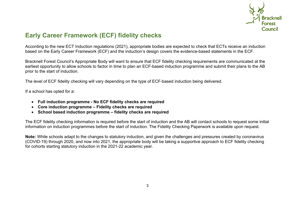

# **Early Career Framework (ECF) fidelity checks**

According to the new ECT Induction regulations (2021), appropriate bodies are expected to check that ECTs receive an induction based on the Early Career Framework (ECF) and the induction's design covers the evidence-based statements in the ECF.

Bracknell Forest Council's Appropriate Body will want to ensure that ECF fidelity checking requirements are communicated at the earliest opportunity to allow schools to factor in time to plan an ECF-based induction programme and submit their plans to the AB prior to the start of induction.

The level of ECF fidelity checking will vary depending on the type of ECF-based induction being delivered.

If a school has opted for a:

- **Full induction programme - No ECF fidelity checks are required**
- **Core induction programme – Fidelity checks are required**
- **School based induction [programme](https://www.egfl.org.uk/sites/default/files/School_effectiveness/ECT/School-based%20induction%20programme%20fidelity%20checking.docx) – fidelity checks are required**

The ECF fidelity checking information is required before the start of induction and the AB will contact schools to request some initial information on induction programmes before the start of induction. The Fidelity Checking Paperwork is available upon request.

**Note:** While schools adapt to the changes to statutory induction, and given the challenges and pressures created by coronavirus (COVID-19) through 2020, and now into 2021, the appropriate body will be taking a supportive approach to ECF fidelity checking for cohorts starting statutory induction in the 2021-22 academic year.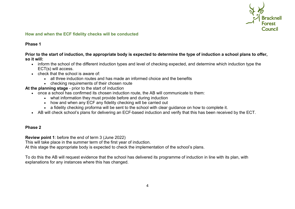

### **How and when the ECF fidelity checks will be conducted**

## **Phase 1**

Prior to the start of induction, the appropriate body is expected to determine the type of induction a school plans to offer, **so it will:**

- inform the school of the different induction types and level of checking expected, and determine which induction type the ECT(s) will access.
- check that the school is aware of:
	- all three induction routes and has made an informed choice and the benefits
	- checking requirements of their chosen route

**At the planning stage** - prior to the start of induction

- once a school has confirmed its chosen induction route, the AB will communicate to them:
	- what information they must provide before and during induction
	- how and when any ECF any fidelity checking will be carried out
	- a fidelity checking proforma will be sent to the school with clear guidance on how to complete it.
- AB will check school's plans for delivering an ECF-based induction and verify that this has been received by the ECT.

# **Phase 2**

**Review point 1**: before the end of term 3 (June 2022)

This will take place in the summer term of the first year of induction.

At this stage the appropriate body is expected to check the implementation of the school's plans.

To do this the AB will request evidence that the school has delivered its programme of induction in line with its plan, with explanations for any instances where this has changed.